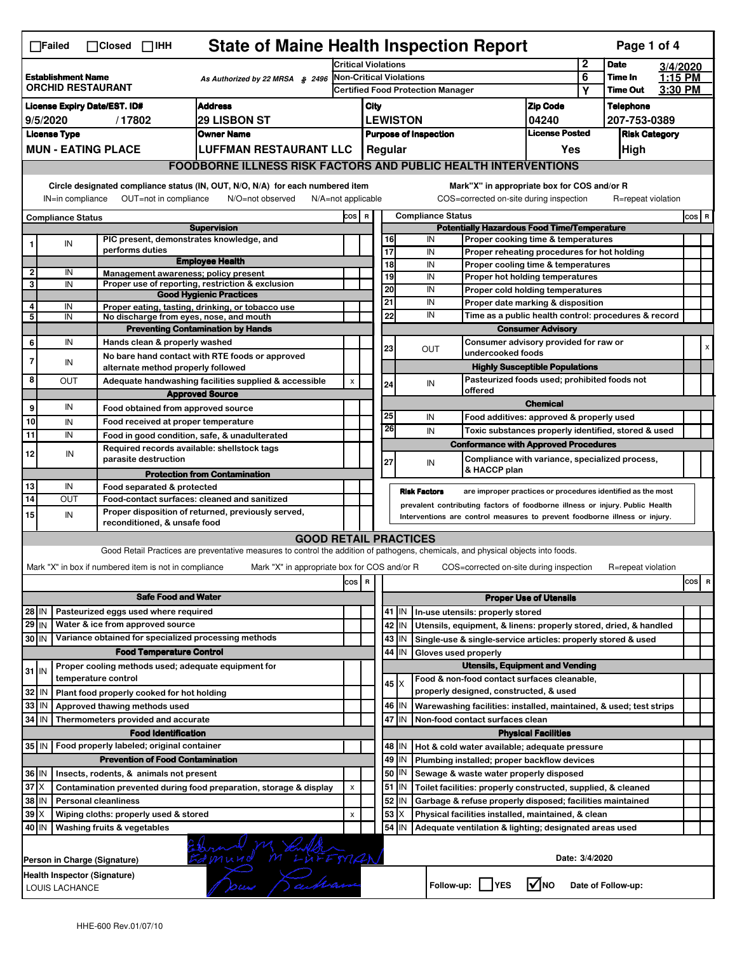|                                                                                           | <b>State of Maine Health Inspection Report</b><br>Page 1 of 4<br>$\Box$ Failed<br>$\Box$ Closed<br>$\Box$ IHH                                                         |                               |                         |                                                       |                                                                                                                                   |                         |                              |                          |                                                           |                                       |                                                                                                 |                                                                       |                  |                    |  |     |   |
|-------------------------------------------------------------------------------------------|-----------------------------------------------------------------------------------------------------------------------------------------------------------------------|-------------------------------|-------------------------|-------------------------------------------------------|-----------------------------------------------------------------------------------------------------------------------------------|-------------------------|------------------------------|--------------------------|-----------------------------------------------------------|---------------------------------------|-------------------------------------------------------------------------------------------------|-----------------------------------------------------------------------|------------------|--------------------|--|-----|---|
|                                                                                           |                                                                                                                                                                       |                               |                         |                                                       | <b>Critical Violations</b>                                                                                                        |                         |                              |                          |                                                           |                                       | 2                                                                                               | <b>Date</b>                                                           | 3/4/2020         |                    |  |     |   |
| <b>Establishment Name</b><br>As Authorized by 22 MRSA $$2496$<br><b>ORCHID RESTAURANT</b> |                                                                                                                                                                       |                               | Non-Critical Violations |                                                       |                                                                                                                                   |                         |                              | 6                        | Time In<br><b>Time Out</b>                                | 1:15 PM<br>3:30 PM                    |                                                                                                 |                                                                       |                  |                    |  |     |   |
|                                                                                           |                                                                                                                                                                       |                               |                         | <b>Certified Food Protection Manager</b>              |                                                                                                                                   |                         |                              |                          | Υ                                                         |                                       |                                                                                                 |                                                                       |                  |                    |  |     |   |
| <b>License Expiry Date/EST. ID#</b>                                                       |                                                                                                                                                                       |                               |                         | <b>Address</b>                                        |                                                                                                                                   | City<br><b>LEWISTON</b> |                              |                          |                                                           |                                       | <b>Zip Code</b>                                                                                 |                                                                       | <b>Telephone</b> |                    |  |     |   |
| 9/5/2020<br><b>29 LISBON ST</b><br>/17802                                                 |                                                                                                                                                                       |                               |                         |                                                       |                                                                                                                                   |                         |                              |                          |                                                           |                                       | 04240<br><b>License Posted</b>                                                                  |                                                                       | 207-753-0389     |                    |  |     |   |
| <b>License Type</b><br><b>Owner Name</b><br><b>MUN - EATING PLACE</b>                     |                                                                                                                                                                       |                               |                         |                                                       | <b>Purpose of Inspection</b><br>Regular                                                                                           |                         |                              |                          |                                                           |                                       |                                                                                                 | <b>Risk Category</b>                                                  |                  |                    |  |     |   |
|                                                                                           |                                                                                                                                                                       |                               |                         |                                                       | <b>LUFFMAN RESTAURANT LLC</b>                                                                                                     |                         |                              |                          |                                                           |                                       |                                                                                                 | Yes                                                                   |                  | High               |  |     |   |
|                                                                                           | <b>FOODBORNE ILLNESS RISK FACTORS AND PUBLIC HEALTH INTERVENTIONS</b>                                                                                                 |                               |                         |                                                       |                                                                                                                                   |                         |                              |                          |                                                           |                                       |                                                                                                 |                                                                       |                  |                    |  |     |   |
|                                                                                           | Circle designated compliance status (IN, OUT, N/O, N/A) for each numbered item<br>OUT=not in compliance<br>IN=in compliance<br>N/O=not observed<br>N/A=not applicable |                               |                         |                                                       |                                                                                                                                   |                         |                              |                          |                                                           |                                       | Mark"X" in appropriate box for COS and/or R<br>COS=corrected on-site during inspection          |                                                                       |                  | R=repeat violation |  |     |   |
| <b>Compliance Status</b>                                                                  |                                                                                                                                                                       |                               |                         | COS R                                                 |                                                                                                                                   |                         |                              | <b>Compliance Status</b> |                                                           |                                       |                                                                                                 |                                                                       | COS R            |                    |  |     |   |
|                                                                                           |                                                                                                                                                                       |                               |                         |                                                       | <b>Supervision</b>                                                                                                                |                         |                              |                          |                                                           |                                       | <b>Potentially Hazardous Food Time/Temperature</b>                                              |                                                                       |                  |                    |  |     |   |
| 1                                                                                         | IN                                                                                                                                                                    |                               | performs duties         |                                                       | PIC present, demonstrates knowledge, and                                                                                          |                         |                              |                          | 16                                                        |                                       | IN                                                                                              | Proper cooking time & temperatures                                    |                  |                    |  |     |   |
|                                                                                           |                                                                                                                                                                       |                               |                         |                                                       | <b>Employee Health</b>                                                                                                            |                         |                              |                          | 17<br>18                                                  |                                       | IN<br>IN                                                                                        | Proper reheating procedures for hot holding                           |                  |                    |  |     |   |
| $\overline{2}$                                                                            | IN                                                                                                                                                                    |                               |                         |                                                       | Management awareness; policy present                                                                                              |                         |                              |                          | 19                                                        |                                       | IN                                                                                              | Proper cooling time & temperatures<br>Proper hot holding temperatures |                  |                    |  |     |   |
| 3                                                                                         | IN                                                                                                                                                                    |                               |                         |                                                       | Proper use of reporting, restriction & exclusion                                                                                  |                         |                              |                          | 20                                                        |                                       | IN                                                                                              | Proper cold holding temperatures                                      |                  |                    |  |     |   |
|                                                                                           |                                                                                                                                                                       |                               |                         |                                                       | <b>Good Hygienic Practices</b>                                                                                                    |                         |                              |                          | 21                                                        |                                       | IN                                                                                              |                                                                       |                  |                    |  |     |   |
| 4<br>5                                                                                    | IN<br>IN                                                                                                                                                              |                               |                         |                                                       | Proper eating, tasting, drinking, or tobacco use<br>No discharge from eyes, nose, and mouth                                       |                         |                              |                          | 22                                                        |                                       | Proper date marking & disposition<br>IN<br>Time as a public health control: procedures & record |                                                                       |                  |                    |  |     |   |
|                                                                                           |                                                                                                                                                                       |                               |                         |                                                       | <b>Preventing Contamination by Hands</b>                                                                                          |                         |                              |                          |                                                           | <b>Consumer Advisory</b>              |                                                                                                 |                                                                       |                  |                    |  |     |   |
| 6                                                                                         | IN                                                                                                                                                                    |                               |                         | Hands clean & properly washed                         |                                                                                                                                   |                         |                              |                          |                                                           | Consumer advisory provided for raw or |                                                                                                 |                                                                       |                  |                    |  |     |   |
| $\overline{7}$                                                                            |                                                                                                                                                                       |                               |                         |                                                       | No bare hand contact with RTE foods or approved                                                                                   |                         |                              |                          | 23                                                        |                                       | <b>OUT</b><br>undercooked foods                                                                 |                                                                       |                  |                    |  |     | X |
|                                                                                           | IN                                                                                                                                                                    |                               |                         |                                                       | alternate method properly followed                                                                                                |                         |                              |                          |                                                           |                                       |                                                                                                 | <b>Highly Susceptible Populations</b>                                 |                  |                    |  |     |   |
| 8                                                                                         | ΟUΤ                                                                                                                                                                   |                               |                         |                                                       | Adequate handwashing facilities supplied & accessible                                                                             |                         | X                            |                          | 24                                                        |                                       | IN                                                                                              | Pasteurized foods used; prohibited foods not                          |                  |                    |  |     |   |
|                                                                                           |                                                                                                                                                                       |                               |                         |                                                       | <b>Approved Source</b>                                                                                                            |                         |                              |                          |                                                           |                                       | offered                                                                                         |                                                                       |                  |                    |  |     |   |
| 9                                                                                         | IN                                                                                                                                                                    |                               |                         |                                                       | Food obtained from approved source                                                                                                |                         |                              |                          |                                                           |                                       |                                                                                                 | <b>Chemical</b>                                                       |                  |                    |  |     |   |
| 10                                                                                        | IN                                                                                                                                                                    |                               |                         |                                                       | Food received at proper temperature                                                                                               |                         |                              |                          | 25                                                        |                                       | IN                                                                                              | Food additives: approved & properly used                              |                  |                    |  |     |   |
| 11                                                                                        | IN                                                                                                                                                                    |                               |                         |                                                       | Food in good condition, safe, & unadulterated                                                                                     |                         |                              |                          | 26                                                        |                                       | IN                                                                                              | Toxic substances properly identified, stored & used                   |                  |                    |  |     |   |
| 12                                                                                        |                                                                                                                                                                       |                               |                         |                                                       | Required records available: shellstock tags                                                                                       |                         |                              |                          |                                                           |                                       | <b>Conformance with Approved Procedures</b>                                                     |                                                                       |                  |                    |  |     |   |
|                                                                                           | IN                                                                                                                                                                    |                               |                         | parasite destruction                                  |                                                                                                                                   |                         |                              |                          | 27                                                        |                                       | IN                                                                                              | Compliance with variance, specialized process,                        |                  |                    |  |     |   |
|                                                                                           |                                                                                                                                                                       |                               |                         |                                                       | <b>Protection from Contamination</b>                                                                                              |                         |                              |                          |                                                           |                                       | & HACCP plan                                                                                    |                                                                       |                  |                    |  |     |   |
| 13                                                                                        | IN                                                                                                                                                                    |                               |                         | Food separated & protected                            |                                                                                                                                   |                         |                              |                          |                                                           |                                       | <b>Risk Factors</b>                                                                             | are improper practices or procedures identified as the most           |                  |                    |  |     |   |
| 14                                                                                        | OUT                                                                                                                                                                   |                               |                         |                                                       | Food-contact surfaces: cleaned and sanitized                                                                                      |                         |                              |                          |                                                           |                                       | prevalent contributing factors of foodborne illness or injury. Public Health                    |                                                                       |                  |                    |  |     |   |
| 15                                                                                        | IN                                                                                                                                                                    |                               |                         | reconditioned, & unsafe food                          | Proper disposition of returned, previously served,                                                                                |                         |                              |                          |                                                           |                                       | Interventions are control measures to prevent foodborne illness or injury.                      |                                                                       |                  |                    |  |     |   |
|                                                                                           |                                                                                                                                                                       |                               |                         |                                                       |                                                                                                                                   |                         |                              |                          |                                                           |                                       |                                                                                                 |                                                                       |                  |                    |  |     |   |
|                                                                                           |                                                                                                                                                                       |                               |                         |                                                       | Good Retail Practices are preventative measures to control the addition of pathogens, chemicals, and physical objects into foods. |                         | <b>GOOD RETAIL PRACTICES</b> |                          |                                                           |                                       |                                                                                                 |                                                                       |                  |                    |  |     |   |
|                                                                                           |                                                                                                                                                                       |                               |                         |                                                       |                                                                                                                                   |                         |                              |                          |                                                           |                                       |                                                                                                 |                                                                       |                  |                    |  |     |   |
|                                                                                           |                                                                                                                                                                       |                               |                         | Mark "X" in box if numbered item is not in compliance | Mark "X" in appropriate box for COS and/or R                                                                                      |                         |                              |                          |                                                           |                                       | COS=corrected on-site during inspection                                                         |                                                                       |                  | R=repeat violation |  |     |   |
|                                                                                           |                                                                                                                                                                       |                               |                         |                                                       |                                                                                                                                   |                         | cos                          | $\,$ R                   |                                                           |                                       |                                                                                                 |                                                                       |                  |                    |  | cos | R |
|                                                                                           |                                                                                                                                                                       |                               |                         | <b>Safe Food and Water</b>                            |                                                                                                                                   |                         |                              |                          |                                                           |                                       |                                                                                                 | <b>Proper Use of Utensils</b>                                         |                  |                    |  |     |   |
| 28 IN                                                                                     |                                                                                                                                                                       |                               |                         | Pasteurized eggs used where required                  |                                                                                                                                   |                         |                              |                          |                                                           | 41 J IN                               | In-use utensils: properly stored                                                                |                                                                       |                  |                    |  |     |   |
| 29 IN                                                                                     |                                                                                                                                                                       |                               |                         | Water & ice from approved source                      |                                                                                                                                   |                         |                              |                          | 42                                                        | IN                                    | Utensils, equipment, & linens: properly stored, dried, & handled                                |                                                                       |                  |                    |  |     |   |
| 30 IN                                                                                     |                                                                                                                                                                       |                               |                         |                                                       | Variance obtained for specialized processing methods                                                                              |                         |                              |                          |                                                           | 43   IN                               | Single-use & single-service articles: properly stored & used                                    |                                                                       |                  |                    |  |     |   |
|                                                                                           |                                                                                                                                                                       |                               |                         | <b>Food Temperature Control</b>                       |                                                                                                                                   |                         |                              |                          |                                                           | 44 IN                                 | Gloves used properly                                                                            |                                                                       |                  |                    |  |     |   |
| $31$ IN                                                                                   |                                                                                                                                                                       |                               |                         |                                                       | Proper cooling methods used; adequate equipment for                                                                               |                         |                              |                          |                                                           |                                       |                                                                                                 | <b>Utensils, Equipment and Vending</b>                                |                  |                    |  |     |   |
|                                                                                           |                                                                                                                                                                       | temperature control           |                         |                                                       |                                                                                                                                   |                         |                              |                          | $45 \times$                                               |                                       | Food & non-food contact surfaces cleanable,                                                     |                                                                       |                  |                    |  |     |   |
| 32                                                                                        | l IN                                                                                                                                                                  |                               |                         | Plant food properly cooked for hot holding            |                                                                                                                                   |                         |                              |                          |                                                           |                                       | properly designed, constructed, & used                                                          |                                                                       |                  |                    |  |     |   |
| 33                                                                                        | l IN                                                                                                                                                                  | Approved thawing methods used |                         |                                                       |                                                                                                                                   |                         |                              |                          |                                                           | 46   IN                               | Warewashing facilities: installed, maintained, & used; test strips                              |                                                                       |                  |                    |  |     |   |
| 34                                                                                        | IN                                                                                                                                                                    |                               |                         | Thermometers provided and accurate                    |                                                                                                                                   |                         |                              |                          | 47                                                        | IN                                    | Non-food contact surfaces clean                                                                 |                                                                       |                  |                    |  |     |   |
|                                                                                           |                                                                                                                                                                       |                               |                         | <b>Food Identification</b>                            |                                                                                                                                   |                         |                              |                          |                                                           |                                       |                                                                                                 | <b>Physical Facilities</b>                                            |                  |                    |  |     |   |
|                                                                                           |                                                                                                                                                                       |                               |                         | 35 IN   Food properly labeled; original container     |                                                                                                                                   |                         |                              |                          |                                                           | 48   IN                               | Hot & cold water available; adequate pressure                                                   |                                                                       |                  |                    |  |     |   |
|                                                                                           |                                                                                                                                                                       |                               |                         | <b>Prevention of Food Contamination</b>               |                                                                                                                                   |                         |                              |                          |                                                           | 49 IN                                 | Plumbing installed; proper backflow devices                                                     |                                                                       |                  |                    |  |     |   |
| 36   IN                                                                                   |                                                                                                                                                                       |                               |                         | Insects, rodents, & animals not present               |                                                                                                                                   |                         |                              |                          | 50                                                        | IN.                                   | Sewage & waste water properly disposed                                                          |                                                                       |                  |                    |  |     |   |
| $37$ $\times$                                                                             |                                                                                                                                                                       |                               |                         |                                                       | Contamination prevented during food preparation, storage & display                                                                |                         | X                            |                          |                                                           | $51$ $\vert$ IN                       | Toilet facilities: properly constructed, supplied, & cleaned                                    |                                                                       |                  |                    |  |     |   |
| 38 IN<br><b>Personal cleanliness</b>                                                      |                                                                                                                                                                       |                               |                         |                                                       |                                                                                                                                   |                         | 52                           | IN.                      | Garbage & refuse properly disposed; facilities maintained |                                       |                                                                                                 |                                                                       |                  |                    |  |     |   |
| $39 \times$<br>Wiping cloths: properly used & stored                                      |                                                                                                                                                                       |                               |                         |                                                       | X                                                                                                                                 |                         | 53                           | ΙX                       | Physical facilities installed, maintained, & clean        |                                       |                                                                                                 |                                                                       |                  |                    |  |     |   |
| 40   IN                                                                                   |                                                                                                                                                                       | Washing fruits & vegetables   |                         |                                                       |                                                                                                                                   |                         |                              |                          | 54                                                        | IN                                    | Adequate ventilation & lighting; designated areas used                                          |                                                                       |                  |                    |  |     |   |
|                                                                                           | MENTEEMAN<br>Date: 3/4/2020<br>Person in Charge (Signature)                                                                                                           |                               |                         |                                                       |                                                                                                                                   |                         |                              |                          |                                                           |                                       |                                                                                                 |                                                                       |                  |                    |  |     |   |
|                                                                                           | Health Inspector (Signature)<br>$\sqrt{ }$ NO<br>Follow-up:     YES<br>Date of Follow-up:<br>LOUIS LACHANCE                                                           |                               |                         |                                                       |                                                                                                                                   |                         |                              |                          |                                                           |                                       |                                                                                                 |                                                                       |                  |                    |  |     |   |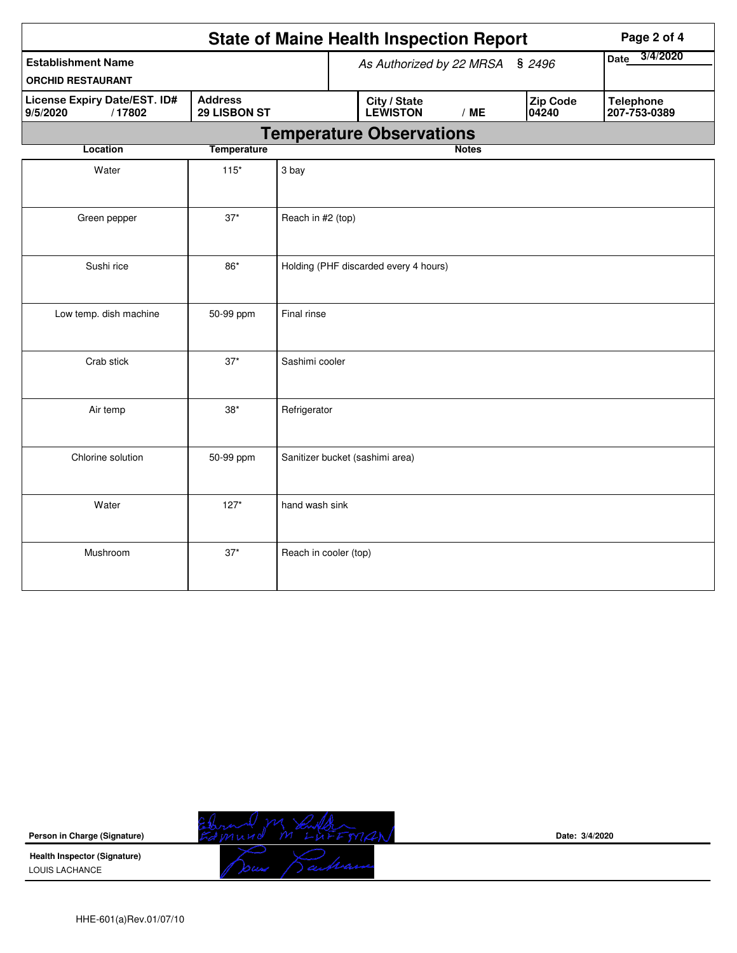| <b>State of Maine Health Inspection Report</b><br>Page 2 of 4 |                                |                                       |                                 |                                 |              |                         |                   |                                  |  |  |
|---------------------------------------------------------------|--------------------------------|---------------------------------------|---------------------------------|---------------------------------|--------------|-------------------------|-------------------|----------------------------------|--|--|
| <b>Establishment Name</b><br><b>ORCHID RESTAURANT</b>         |                                | As Authorized by 22 MRSA<br>\$2496    |                                 |                                 |              | 3/4/2020<br><b>Date</b> |                   |                                  |  |  |
| License Expiry Date/EST. ID#<br>/17802<br>9/5/2020            | <b>Address</b><br>29 LISBON ST |                                       |                                 | City / State<br><b>LEWISTON</b> | /ME          |                         | Zip Code<br>04240 | <b>Telephone</b><br>207-753-0389 |  |  |
|                                                               |                                |                                       | <b>Temperature Observations</b> |                                 |              |                         |                   |                                  |  |  |
| Location                                                      | <b>Temperature</b>             |                                       |                                 |                                 | <b>Notes</b> |                         |                   |                                  |  |  |
| Water                                                         |                                |                                       |                                 |                                 |              |                         |                   |                                  |  |  |
| Green pepper                                                  | $37*$                          | Reach in #2 (top)                     |                                 |                                 |              |                         |                   |                                  |  |  |
| Sushi rice                                                    | 86*                            | Holding (PHF discarded every 4 hours) |                                 |                                 |              |                         |                   |                                  |  |  |
| Low temp. dish machine                                        | 50-99 ppm                      | Final rinse                           |                                 |                                 |              |                         |                   |                                  |  |  |
| Crab stick                                                    | $37*$                          | Sashimi cooler                        |                                 |                                 |              |                         |                   |                                  |  |  |
| Air temp                                                      | $38*$                          | Refrigerator                          |                                 |                                 |              |                         |                   |                                  |  |  |
| Chlorine solution                                             | 50-99 ppm                      |                                       |                                 | Sanitizer bucket (sashimi area) |              |                         |                   |                                  |  |  |
| Water                                                         | $127*$                         | hand wash sink                        |                                 |                                 |              |                         |                   |                                  |  |  |
| Mushroom                                                      | $37*$                          | Reach in cooler (top)                 |                                 |                                 |              |                         |                   |                                  |  |  |

| Person in Charge (Signature)                          |                                 | Date: 3/4/2020 |
|-------------------------------------------------------|---------------------------------|----------------|
| <b>Health Inspector (Signature)</b><br>LOUIS LACHANCE | <b>Septembers</b><br>سمعدن الدر |                |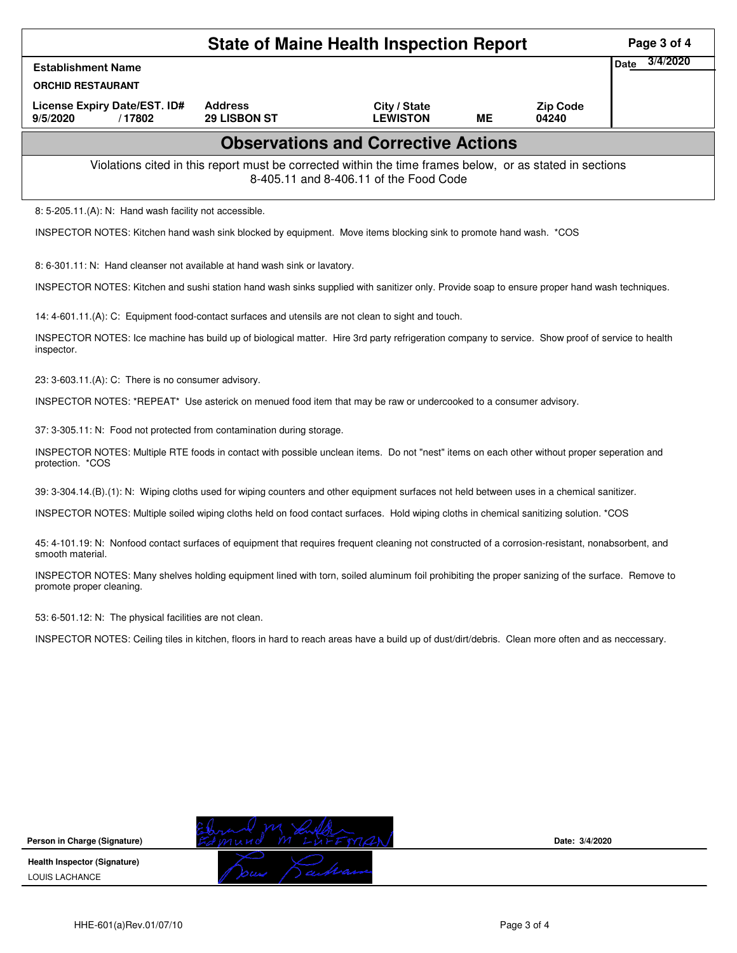|                                                                                                                                                                             | <b>State of Maine Health Inspection Report</b><br>Page 3 of 4 |                                                                                                                                                    |           |                          |      |          |  |  |  |
|-----------------------------------------------------------------------------------------------------------------------------------------------------------------------------|---------------------------------------------------------------|----------------------------------------------------------------------------------------------------------------------------------------------------|-----------|--------------------------|------|----------|--|--|--|
| <b>Establishment Name</b>                                                                                                                                                   |                                                               |                                                                                                                                                    |           |                          | Date | 3/4/2020 |  |  |  |
| <b>ORCHID RESTAURANT</b>                                                                                                                                                    |                                                               |                                                                                                                                                    |           |                          |      |          |  |  |  |
| License Expiry Date/EST. ID#<br>9/5/2020<br>/17802                                                                                                                          | <b>Address</b><br>29 LISBON ST                                | City / State<br><b>LEWISTON</b>                                                                                                                    | <b>ME</b> | <b>Zip Code</b><br>04240 |      |          |  |  |  |
|                                                                                                                                                                             |                                                               | <b>Observations and Corrective Actions</b>                                                                                                         |           |                          |      |          |  |  |  |
|                                                                                                                                                                             |                                                               | Violations cited in this report must be corrected within the time frames below, or as stated in sections<br>8-405.11 and 8-406.11 of the Food Code |           |                          |      |          |  |  |  |
| 8: 5-205.11.(A): N: Hand wash facility not accessible.                                                                                                                      |                                                               |                                                                                                                                                    |           |                          |      |          |  |  |  |
| INSPECTOR NOTES: Kitchen hand wash sink blocked by equipment. Move items blocking sink to promote hand wash. *COS                                                           |                                                               |                                                                                                                                                    |           |                          |      |          |  |  |  |
| 8: 6-301.11: N: Hand cleanser not available at hand wash sink or lavatory.                                                                                                  |                                                               |                                                                                                                                                    |           |                          |      |          |  |  |  |
| INSPECTOR NOTES: Kitchen and sushi station hand wash sinks supplied with sanitizer only. Provide soap to ensure proper hand wash techniques.                                |                                                               |                                                                                                                                                    |           |                          |      |          |  |  |  |
| 14: 4-601.11.(A): C: Equipment food-contact surfaces and utensils are not clean to sight and touch.                                                                         |                                                               |                                                                                                                                                    |           |                          |      |          |  |  |  |
| INSPECTOR NOTES: Ice machine has build up of biological matter. Hire 3rd party refrigeration company to service. Show proof of service to health<br>inspector.              |                                                               |                                                                                                                                                    |           |                          |      |          |  |  |  |
| 23: 3-603.11.(A): C: There is no consumer advisory.                                                                                                                         |                                                               |                                                                                                                                                    |           |                          |      |          |  |  |  |
| INSPECTOR NOTES: *REPEAT* Use asterick on menued food item that may be raw or undercooked to a consumer advisory.                                                           |                                                               |                                                                                                                                                    |           |                          |      |          |  |  |  |
| 37: 3-305.11: N: Food not protected from contamination during storage.                                                                                                      |                                                               |                                                                                                                                                    |           |                          |      |          |  |  |  |
| INSPECTOR NOTES: Multiple RTE foods in contact with possible unclean items. Do not "nest" items on each other without proper seperation and<br>protection. *COS             |                                                               |                                                                                                                                                    |           |                          |      |          |  |  |  |
| 39: 3-304.14.(B).(1): N: Wiping cloths used for wiping counters and other equipment surfaces not held between uses in a chemical sanitizer.                                 |                                                               |                                                                                                                                                    |           |                          |      |          |  |  |  |
| INSPECTOR NOTES: Multiple soiled wiping cloths held on food contact surfaces. Hold wiping cloths in chemical sanitizing solution. *COS                                      |                                                               |                                                                                                                                                    |           |                          |      |          |  |  |  |
| 45: 4-101.19: N: Nonfood contact surfaces of equipment that requires frequent cleaning not constructed of a corrosion-resistant, nonabsorbent, and<br>smooth material.      |                                                               |                                                                                                                                                    |           |                          |      |          |  |  |  |
| INSPECTOR NOTES: Many shelves holding equipment lined with torn, soiled aluminum foil prohibiting the proper sanizing of the surface. Remove to<br>promote proper cleaning. |                                                               |                                                                                                                                                    |           |                          |      |          |  |  |  |
| 53: 6-501.12: N: The physical facilities are not clean.                                                                                                                     |                                                               |                                                                                                                                                    |           |                          |      |          |  |  |  |
| INSPECTOR NOTES: Ceiling tiles in kitchen, floors in hard to reach areas have a build up of dust/dirt/debris. Clean more often and as neccessary.                           |                                                               |                                                                                                                                                    |           |                          |      |          |  |  |  |
|                                                                                                                                                                             |                                                               |                                                                                                                                                    |           |                          |      |          |  |  |  |
|                                                                                                                                                                             |                                                               |                                                                                                                                                    |           |                          |      |          |  |  |  |
|                                                                                                                                                                             |                                                               |                                                                                                                                                    |           |                          |      |          |  |  |  |
|                                                                                                                                                                             |                                                               |                                                                                                                                                    |           |                          |      |          |  |  |  |
|                                                                                                                                                                             |                                                               |                                                                                                                                                    |           |                          |      |          |  |  |  |
|                                                                                                                                                                             |                                                               |                                                                                                                                                    |           |                          |      |          |  |  |  |
|                                                                                                                                                                             |                                                               |                                                                                                                                                    |           |                          |      |          |  |  |  |
| Person in Charge (Signature)                                                                                                                                                |                                                               |                                                                                                                                                    |           | Date: 3/4/2020           |      |          |  |  |  |
| <b>Health Inspector (Signature)</b><br>LOUIS LACHANCE                                                                                                                       |                                                               |                                                                                                                                                    |           |                          |      |          |  |  |  |

**Health Inspector (Signature)**  LOUIS LACHANCE